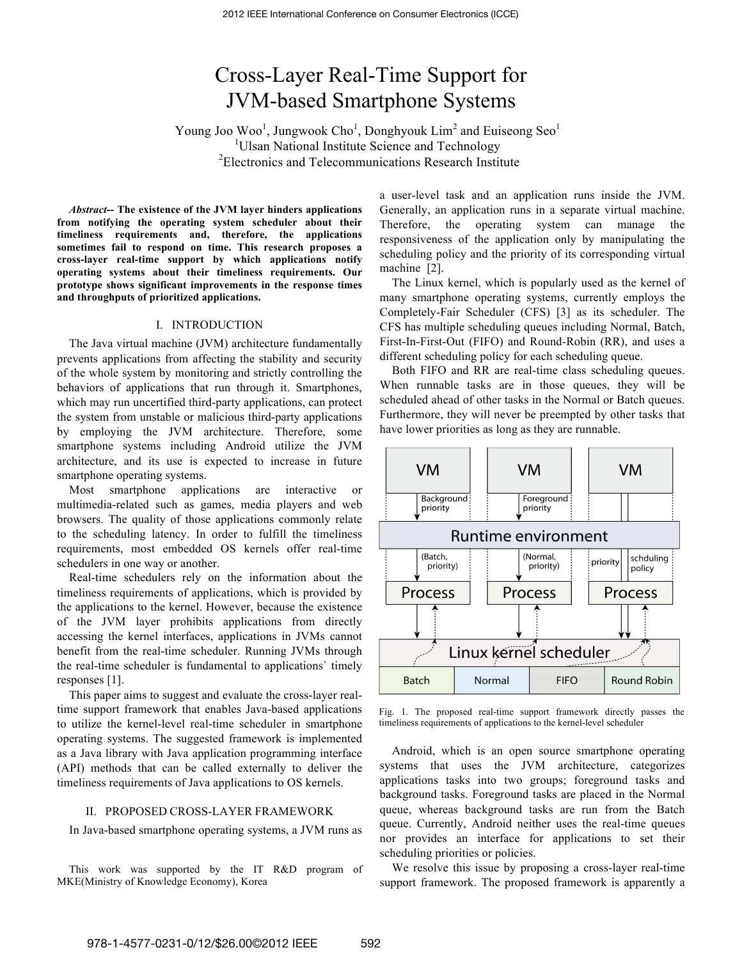# Cross-Layer Real-Time Support for JVM-based Smartphone Systems

Young Joo Woo<sup>1</sup>, Jungwook Cho<sup>1</sup>, Donghyouk Lim<sup>2</sup> and Euiseong Seo<sup>1</sup> <sup>1</sup>Ulsan National Institute Science and Technology <sup>2</sup>Electronics and Telecommunications Research Institute

*Abstract***-- The existence of the JVM layer hinders applications from notifying the operating system scheduler about their timeliness requirements and, therefore, the applications sometimes fail to respond on time. This research proposes a cross-layer real-time support by which applications notify operating systems about their timeliness requirements. Our prototype shows significant improvements in the response times and throughputs of prioritized applications.**

# I. INTRODUCTION

The Java virtual machine (JVM) architecture fundamentally prevents applications from affecting the stability and security of the whole system by monitoring and strictly controlling the behaviors of applications that run through it. Smartphones, which may run uncertified third-party applications, can protect the system from unstable or malicious third-party applications by employing the JVM architecture. Therefore, some smartphone systems including Android utilize the JVM architecture, and its use is expected to increase in future smartphone operating systems.

Most smartphone applications are interactive or multimedia-related such as games, media players and web browsers. The quality of those applications commonly relate to the scheduling latency. In order to fulfill the timeliness requirements, most embedded OS kernels offer real-time schedulers in one way or another.

Real-time schedulers rely on the information about the timeliness requirements of applications, which is provided by the applications to the kernel. However, because the existence of the JVM layer prohibits applications from directly accessing the kernel interfaces, applications in JVMs cannot benefit from the real-time scheduler. Running JVMs through the real-time scheduler is fundamental to applications` timely responses [1].

This paper aims to suggest and evaluate the cross-layer realtime support framework that enables Java-based applications to utilize the kernel-level real-time scheduler in smartphone operating systems. The suggested framework is implemented as a Java library with Java application programming interface (API) methods that can be called externally to deliver the timeliness requirements of Java applications to OS kernels.

#### II. PROPOSED CROSS-LAYER FRAMEWORK

In Java-based smartphone operating systems, a JVM runs as

This work was supported by the IT R&D program of MKE(Ministry of Knowledge Economy), Korea

a user-level task and an application runs inside the JVM. Generally, an application runs in a separate virtual machine. Therefore, the operating system can manage the responsiveness of the application only by manipulating the scheduling policy and the priority of its corresponding virtual machine [2].

The Linux kernel, which is popularly used as the kernel of many smartphone operating systems, currently employs the Completely-Fair Scheduler (CFS) [3] as its scheduler. The CFS has multiple scheduling queues including Normal, Batch, First-In-First-Out (FIFO) and Round-Robin (RR), and uses a different scheduling policy for each scheduling queue.

Both FIFO and RR are real-time class scheduling queues. When runnable tasks are in those queues, they will be scheduled ahead of other tasks in the Normal or Batch queues. Furthermore, they will never be preempted by other tasks that have lower priorities as long as they are runnable.



Fig. 1. The proposed real-time support framework directly passes the timeliness requirements of applications to the kernel-level scheduler

Android, which is an open source smartphone operating systems that uses the JVM architecture, categorizes applications tasks into two groups; foreground tasks and background tasks. Foreground tasks are placed in the Normal queue, whereas background tasks are run from the Batch queue. Currently, Android neither uses the real-time queues nor provides an interface for applications to set their scheduling priorities or policies.

We resolve this issue by proposing a cross-layer real-time support framework. The proposed framework is apparently a